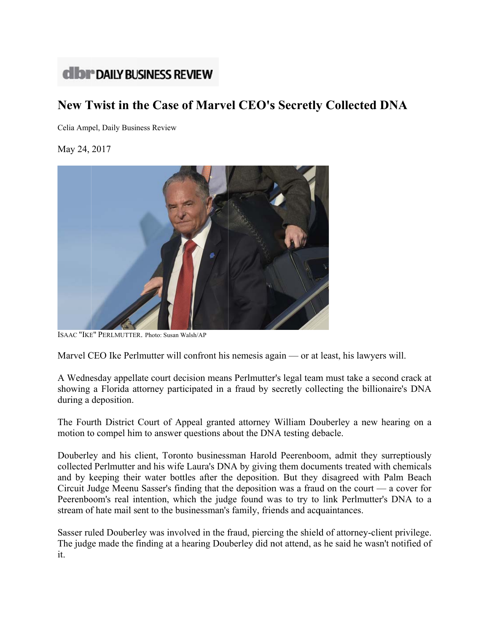## **dibr** DAILY BUSINESS REVIEW

## New Twist in the Case of Marvel CEO's Secretly Collected DNA

Celia Ampel, Daily Business Review

May 24, 2017



ISAAC "IKE" PERLMUTTER. Photo: Susan Walsh/AP

Marvel CEO Ike Perlmutter will confront his nemesis again — or at least, his lawyers will.

A Wednesday appellate court decision means Perlmutter's legal team must take a second crack at showing a Florida attorney participated in a fraud by secretly collecting the billionaire's DNA during a deposition.

The Fourth District Court of Appeal granted attorney William Douberley a new hearing on a motion to compel him to answer questions about the DNA testing debacle.

Douberley and his client, Toronto businessman Harold Peerenboom, admit they surreptiously collected Perlmutter and his wife Laura's DNA by giving them documents treated with chemicals and by keeping their water bottles after the deposition. But they disagreed with Palm Beach Circuit Judge Meenu Sasser's finding that the deposition was a fraud on the court  $-$  a cover for Peerenboom's real intention, which the judge found was to try to link Perlmutter's DNA to a stream of hate mail sent to the businessman's family, friends and acquaintances.

Sasser ruled Douberley was involved in the fraud, piercing the shield of attorney-client privilege. The judge made the finding at a hearing Douberley did not attend, as he said he wasn't notified of it.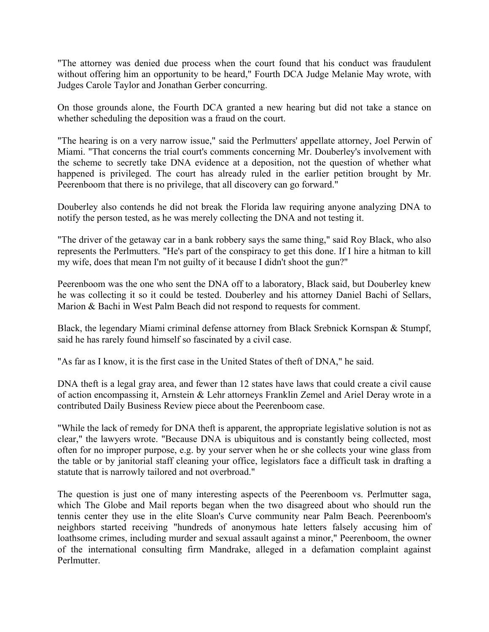"The attorney was denied due process when the court found that his conduct was fraudulent without offering him an opportunity to be heard," Fourth DCA Judge Melanie May wrote, with Judges Carole Taylor and Jonathan Gerber concurring.

On those grounds alone, the Fourth DCA granted a new hearing but did not take a stance on whether scheduling the deposition was a fraud on the court.

"The hearing is on a very narrow issue," said the Perlmutters' appellate attorney, Joel Perwin of Miami. "That concerns the trial court's comments concerning Mr. Douberley's involvement with the scheme to secretly take DNA evidence at a deposition, not the question of whether what happened is privileged. The court has already ruled in the earlier petition brought by Mr. Peerenboom that there is no privilege, that all discovery can go forward."

Douberley also contends he did not break the Florida law requiring anyone analyzing DNA to notify the person tested, as he was merely collecting the DNA and not testing it.

"The driver of the getaway car in a bank robbery says the same thing," said Roy Black, who also represents the Perlmutters. "He's part of the conspiracy to get this done. If I hire a hitman to kill my wife, does that mean I'm not guilty of it because I didn't shoot the gun?"

Peerenboom was the one who sent the DNA off to a laboratory, Black said, but Douberley knew he was collecting it so it could be tested. Douberley and his attorney Daniel Bachi of Sellars, Marion & Bachi in West Palm Beach did not respond to requests for comment.

Black, the legendary Miami criminal defense attorney from Black Srebnick Kornspan & Stumpf, said he has rarely found himself so fascinated by a civil case.

"As far as I know, it is the first case in the United States of theft of DNA," he said.

DNA theft is a legal gray area, and fewer than 12 states have laws that could create a civil cause of action encompassing it, Arnstein & Lehr attorneys Franklin Zemel and Ariel Deray wrote in a contributed Daily Business Review piece about the Peerenboom case.

"While the lack of remedy for DNA theft is apparent, the appropriate legislative solution is not as clear," the lawyers wrote. "Because DNA is ubiquitous and is constantly being collected, most often for no improper purpose, e.g. by your server when he or she collects your wine glass from the table or by janitorial staff cleaning your office, legislators face a difficult task in drafting a statute that is narrowly tailored and not overbroad."

The question is just one of many interesting aspects of the Peerenboom vs. Perlmutter saga, which The Globe and Mail reports began when the two disagreed about who should run the tennis center they use in the elite Sloan's Curve community near Palm Beach. Peerenboom's neighbors started receiving "hundreds of anonymous hate letters falsely accusing him of loathsome crimes, including murder and sexual assault against a minor," Peerenboom, the owner of the international consulting firm Mandrake, alleged in a defamation complaint against Perlmutter.